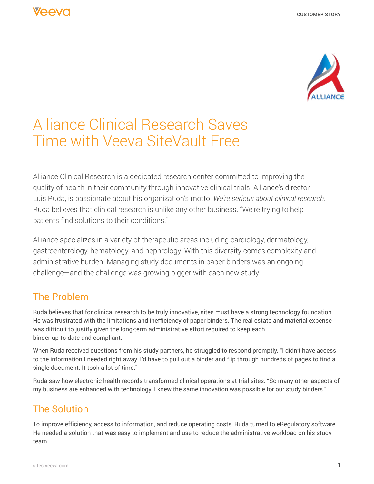

# Alliance Clinical Research Saves Time with Veeva SiteVault Free

Alliance Clinical Research is a dedicated research center committed to improving the quality of health in their community through innovative clinical trials. Alliance's director, Luis Ruda, is passionate about his organization's motto: *We're serious about clinical research*. Ruda believes that clinical research is unlike any other business. "We're trying to help patients find solutions to their conditions."

Alliance specializes in a variety of therapeutic areas including cardiology, dermatology, gastroenterology, hematology, and nephrology. With this diversity comes complexity and administrative burden. Managing study documents in paper binders was an ongoing challenge—and the challenge was growing bigger with each new study.

## The Problem

Ruda believes that for clinical research to be truly innovative, sites must have a strong technology foundation. He was frustrated with the limitations and inefficiency of paper binders. The real estate and material expense was difficult to justify given the long-term administrative effort required to keep each binder up-to-date and compliant.

When Ruda received questions from his study partners, he struggled to respond promptly. "I didn't have access to the information I needed right away. I'd have to pull out a binder and flip through hundreds of pages to find a single document. It took a lot of time."

Ruda saw how electronic health records transformed clinical operations at trial sites. "So many other aspects of my business are enhanced with technology. I knew the same innovation was possible for our study binders."

## The Solution

To improve efficiency, access to information, and reduce operating costs, Ruda turned to eRegulatory software. He needed a solution that was easy to implement and use to reduce the administrative workload on his study team.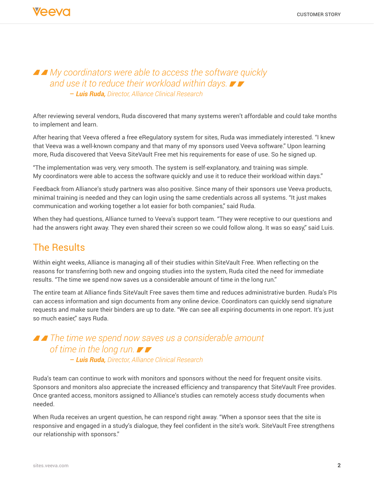#### *My coordinators were able to access the software quickly and use it to reduce their workload within days.* – *Luis Ruda, Director, Alliance Clinical Research*

After reviewing several vendors, Ruda discovered that many systems weren't affordable and could take months to implement and learn.

After hearing that Veeva offered a free eRegulatory system for sites, Ruda was immediately interested. "I knew that Veeva was a well-known company and that many of my sponsors used Veeva software." Upon learning more, Ruda discovered that Veeva SiteVault Free met his requirements for ease of use. So he signed up.

"The implementation was very, very smooth. The system is self-explanatory, and training was simple. My coordinators were able to access the software quickly and use it to reduce their workload within days."

Feedback from Alliance's study partners was also positive. Since many of their sponsors use Veeva products, minimal training is needed and they can login using the same credentials across all systems. "It just makes communication and working together a lot easier for both companies," said Ruda.

When they had questions, Alliance turned to Veeva's support team. "They were receptive to our questions and had the answers right away. They even shared their screen so we could follow along. It was so easy," said Luis.

## The Results

Within eight weeks, Alliance is managing all of their studies within SiteVault Free. When reflecting on the reasons for transferring both new and ongoing studies into the system, Ruda cited the need for immediate results. "The time we spend now saves us a considerable amount of time in the long run."

The entire team at Alliance finds SiteVault Free saves them time and reduces administrative burden. Ruda's PIs can access information and sign documents from any online device. Coordinators can quickly send signature requests and make sure their binders are up to date. "We can see all expiring documents in one report. It's just so much easier," says Ruda.

#### *The time we spend now saves us a considerable amount of time in the long run.* – *Luis Ruda, Director, Alliance Clinical Research*

Ruda's team can continue to work with monitors and sponsors without the need for frequent onsite visits. Sponsors and monitors also appreciate the increased efficiency and transparency that SiteVault Free provides. Once granted access, monitors assigned to Alliance's studies can remotely access study documents when needed.

When Ruda receives an urgent question, he can respond right away. "When a sponsor sees that the site is responsive and engaged in a study's dialogue, they feel confident in the site's work. SiteVault Free strengthens our relationship with sponsors."